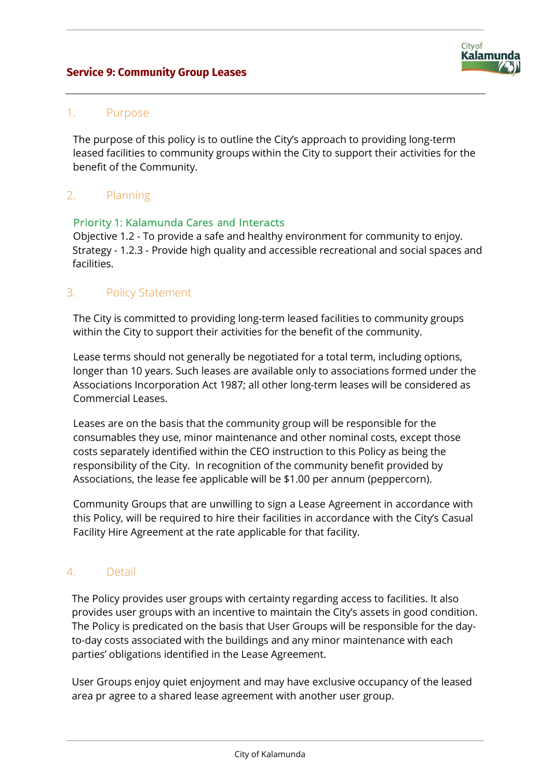## **Service 9: Community Group Leases**



### 1. Purpose

The purpose of this policy is to outline the City's approach to providing long-term leased facilities to community groups within the City to support their activities for the benefit of the Community.

### 2. Planning

#### Priority 1: Kalamunda Cares and Interacts

Objective 1.2 - To provide a safe and healthy environment for community to enjoy. Strategy - 1.2.3 - Provide high quality and accessible recreational and social spaces and facilities.

### 3. Policy Statement

The City is committed to providing long-term leased facilities to community groups within the City to support their activities for the benefit of the community.

Lease terms should not generally be negotiated for a total term, including options, longer than 10 years. Such leases are available only to associations formed under the Associations Incorporation Act 1987; all other long-term leases will be considered as Commercial Leases.

Leases are on the basis that the community group will be responsible for the consumables they use, minor maintenance and other nominal costs, except those costs separately identified within the CEO instruction to this Policy as being the responsibility of the City. In recognition of the community benefit provided by Associations, the lease fee applicable will be \$1.00 per annum (peppercorn).

Community Groups that are unwilling to sign a Lease Agreement in accordance with this Policy, will be required to hire their facilities in accordance with the City's Casual Facility Hire Agreement at the rate applicable for that facility.

#### 4. Detail

The Policy provides user groups with certainty regarding access to facilities. It also provides user groups with an incentive to maintain the City's assets in good condition. The Policy is predicated on the basis that User Groups will be responsible for the dayto-day costs associated with the buildings and any minor maintenance with each parties' obligations identified in the Lease Agreement.

User Groups enjoy quiet enjoyment and may have exclusive occupancy of the leased area pr agree to a shared lease agreement with another user group.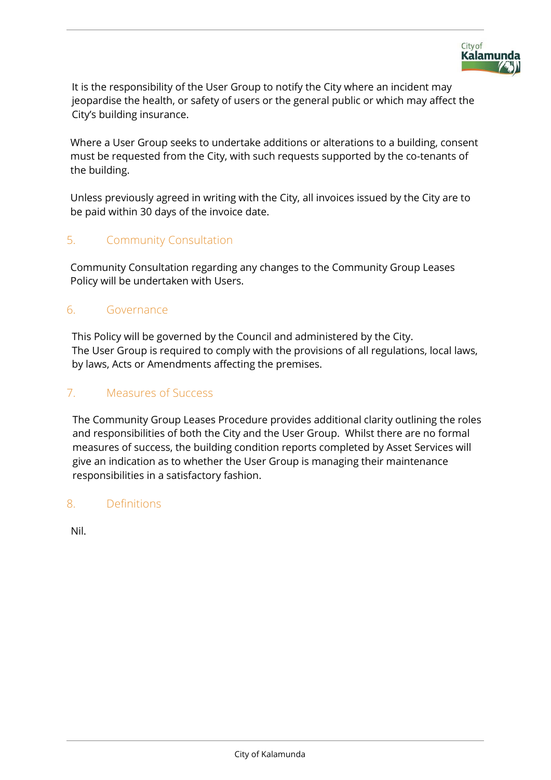

It is the responsibility of the User Group to notify the City where an incident may jeopardise the health, or safety of users or the general public or which may affect the City's building insurance.

Where a User Group seeks to undertake additions or alterations to a building, consent must be requested from the City, with such requests supported by the co-tenants of the building.

Unless previously agreed in writing with the City, all invoices issued by the City are to be paid within 30 days of the invoice date.

# 5. Community Consultation

Community Consultation regarding any changes to the Community Group Leases Policy will be undertaken with Users.

## 6. Governance

This Policy will be governed by the Council and administered by the City. The User Group is required to comply with the provisions of all regulations, local laws, by laws, Acts or Amendments affecting the premises.

# 7. Measures of Success

The Community Group Leases Procedure provides additional clarity outlining the roles and responsibilities of both the City and the User Group. Whilst there are no formal measures of success, the building condition reports completed by Asset Services will give an indication as to whether the User Group is managing their maintenance responsibilities in a satisfactory fashion.

## 8. Definitions

Nil.